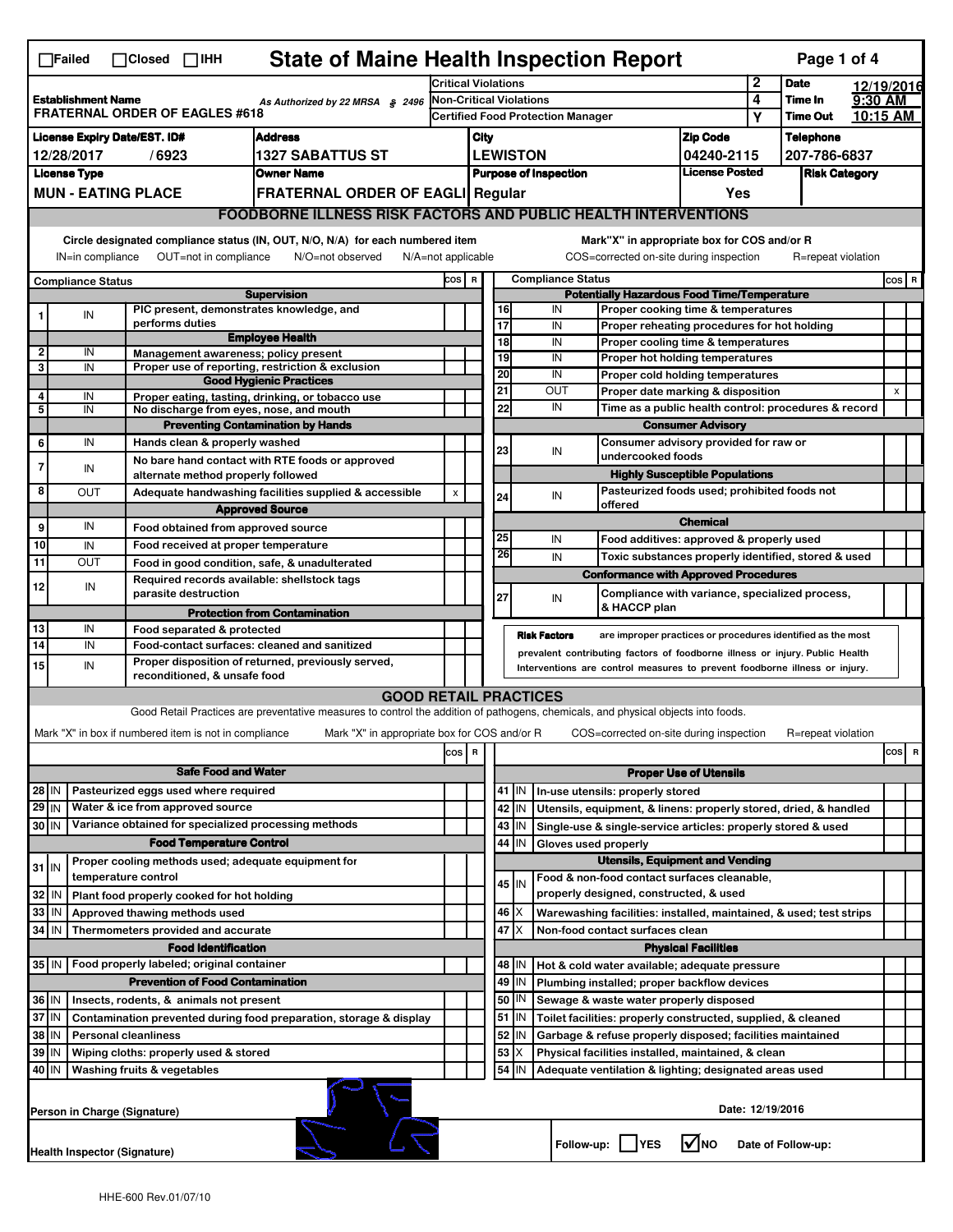|                                                                                                       | <b>State of Maine Health Inspection Report</b><br>Page 1 of 4<br>$\Box$ Failed<br>$\Box$ Closed $\Box$ IHH                                               |                                                                            |                                                                                                                                   |                                          |                                                   |                                                                                                                             |                                             |                     |                                                              |                                                                                       |                                     |                  |                      |  |          |
|-------------------------------------------------------------------------------------------------------|----------------------------------------------------------------------------------------------------------------------------------------------------------|----------------------------------------------------------------------------|-----------------------------------------------------------------------------------------------------------------------------------|------------------------------------------|---------------------------------------------------|-----------------------------------------------------------------------------------------------------------------------------|---------------------------------------------|---------------------|--------------------------------------------------------------|---------------------------------------------------------------------------------------|-------------------------------------|------------------|----------------------|--|----------|
| <b>Establishment Name</b><br>As Authorized by 22 MRSA § 2496<br><b>FRATERNAL ORDER OF EAGLES #618</b> |                                                                                                                                                          |                                                                            |                                                                                                                                   |                                          | <b>Critical Violations</b>                        |                                                                                                                             |                                             |                     |                                                              | 2                                                                                     | <b>Date</b>                         |                  | 12/19/2016           |  |          |
|                                                                                                       |                                                                                                                                                          |                                                                            |                                                                                                                                   |                                          | <b>Non-Critical Violations</b>                    |                                                                                                                             |                                             |                     | 4                                                            | Time In                                                                               | 9:30 AM                             | 10:15 AM         |                      |  |          |
|                                                                                                       |                                                                                                                                                          |                                                                            |                                                                                                                                   | <b>Certified Food Protection Manager</b> |                                                   |                                                                                                                             |                                             |                     |                                                              |                                                                                       |                                     | Υ                | <b>Time Out</b>      |  |          |
| <b>License Expiry Date/EST. ID#</b><br><b>Address</b>                                                 |                                                                                                                                                          |                                                                            |                                                                                                                                   |                                          |                                                   | City                                                                                                                        |                                             |                     |                                                              | <b>Zip Code</b>                                                                       |                                     | <b>Telephone</b> |                      |  |          |
|                                                                                                       | 12/28/2017<br>/6923<br><b>1327 SABATTUS ST</b>                                                                                                           |                                                                            |                                                                                                                                   |                                          |                                                   | <b>LEWISTON</b>                                                                                                             |                                             |                     |                                                              |                                                                                       | 04240-2115<br><b>License Posted</b> |                  | 207-786-6837         |  |          |
|                                                                                                       | <b>License Type</b><br><b>Owner Name</b><br><b>MUN - EATING PLACE</b>                                                                                    |                                                                            |                                                                                                                                   |                                          |                                                   | <b>Purpose of Inspection</b>                                                                                                |                                             |                     |                                                              |                                                                                       |                                     |                  | <b>Risk Category</b> |  |          |
|                                                                                                       |                                                                                                                                                          |                                                                            | <b>FRATERNAL ORDER OF EAGLI Regular</b>                                                                                           |                                          |                                                   |                                                                                                                             |                                             |                     |                                                              |                                                                                       | Yes                                 |                  |                      |  |          |
|                                                                                                       | <b>FOODBORNE ILLNESS RISK FACTORS AND PUBLIC HEALTH INTERVENTIONS</b>                                                                                    |                                                                            |                                                                                                                                   |                                          |                                                   |                                                                                                                             |                                             |                     |                                                              |                                                                                       |                                     |                  |                      |  |          |
|                                                                                                       | Circle designated compliance status (IN, OUT, N/O, N/A) for each numbered item                                                                           |                                                                            |                                                                                                                                   |                                          |                                                   |                                                                                                                             | Mark"X" in appropriate box for COS and/or R |                     |                                                              |                                                                                       |                                     |                  |                      |  |          |
|                                                                                                       | OUT=not in compliance<br>COS=corrected on-site during inspection<br>IN=in compliance<br>N/O=not observed<br>$N/A = not$ applicable<br>R=repeat violation |                                                                            |                                                                                                                                   |                                          |                                                   |                                                                                                                             |                                             |                     |                                                              |                                                                                       |                                     |                  |                      |  |          |
|                                                                                                       | <b>Compliance Status</b>                                                                                                                                 |                                                                            |                                                                                                                                   | COS R                                    |                                                   |                                                                                                                             |                                             |                     | <b>Compliance Status</b>                                     |                                                                                       |                                     |                  |                      |  | $cos$ R  |
|                                                                                                       |                                                                                                                                                          |                                                                            | <b>Supervision</b>                                                                                                                |                                          |                                                   |                                                                                                                             | 16                                          | IN                  |                                                              | <b>Potentially Hazardous Food Time/Temperature</b>                                    |                                     |                  |                      |  |          |
|                                                                                                       | IN                                                                                                                                                       | PIC present, demonstrates knowledge, and<br>performs duties                |                                                                                                                                   |                                          |                                                   |                                                                                                                             | 17                                          | IN                  |                                                              | Proper cooking time & temperatures<br>Proper reheating procedures for hot holding     |                                     |                  |                      |  |          |
|                                                                                                       |                                                                                                                                                          |                                                                            | <b>Employee Health</b>                                                                                                            |                                          |                                                   |                                                                                                                             | 18                                          | IN                  |                                                              | Proper cooling time & temperatures                                                    |                                     |                  |                      |  |          |
| 2                                                                                                     | IN                                                                                                                                                       | Management awareness; policy present                                       |                                                                                                                                   |                                          |                                                   |                                                                                                                             | 19                                          | IN                  |                                                              | Proper hot holding temperatures                                                       |                                     |                  |                      |  |          |
| 3                                                                                                     | IN                                                                                                                                                       |                                                                            | Proper use of reporting, restriction & exclusion<br><b>Good Hygienic Practices</b>                                                |                                          |                                                   |                                                                                                                             | 20                                          | IN                  |                                                              | Proper cold holding temperatures                                                      |                                     |                  |                      |  |          |
| 4                                                                                                     | IN                                                                                                                                                       |                                                                            | Proper eating, tasting, drinking, or tobacco use                                                                                  |                                          |                                                   |                                                                                                                             | 21                                          | <b>OUT</b>          |                                                              | Proper date marking & disposition                                                     |                                     |                  |                      |  | x        |
| 5                                                                                                     | IN                                                                                                                                                       | No discharge from eyes, nose, and mouth                                    |                                                                                                                                   |                                          |                                                   |                                                                                                                             | 22                                          | IN                  |                                                              | Time as a public health control: procedures & record                                  |                                     |                  |                      |  |          |
|                                                                                                       |                                                                                                                                                          |                                                                            | <b>Preventing Contamination by Hands</b>                                                                                          |                                          |                                                   |                                                                                                                             |                                             |                     |                                                              |                                                                                       | <b>Consumer Advisory</b>            |                  |                      |  |          |
| 6                                                                                                     | IN                                                                                                                                                       | Hands clean & properly washed                                              |                                                                                                                                   |                                          |                                                   |                                                                                                                             | 23                                          | IN                  |                                                              | Consumer advisory provided for raw or<br>undercooked foods                            |                                     |                  |                      |  |          |
|                                                                                                       | IN                                                                                                                                                       | alternate method properly followed                                         | No bare hand contact with RTE foods or approved                                                                                   |                                          |                                                   |                                                                                                                             |                                             |                     |                                                              | <b>Highly Susceptible Populations</b>                                                 |                                     |                  |                      |  |          |
| 8                                                                                                     | OUT                                                                                                                                                      |                                                                            | Adequate handwashing facilities supplied & accessible                                                                             | $\pmb{\mathsf{x}}$                       |                                                   |                                                                                                                             |                                             |                     |                                                              | Pasteurized foods used; prohibited foods not                                          |                                     |                  |                      |  |          |
|                                                                                                       |                                                                                                                                                          |                                                                            | <b>Approved Source</b>                                                                                                            |                                          |                                                   |                                                                                                                             | 24                                          | IN                  |                                                              | offered                                                                               |                                     |                  |                      |  |          |
| 9                                                                                                     | IN                                                                                                                                                       | Food obtained from approved source                                         |                                                                                                                                   |                                          |                                                   |                                                                                                                             |                                             |                     |                                                              |                                                                                       | <b>Chemical</b>                     |                  |                      |  |          |
| 10                                                                                                    | IN                                                                                                                                                       | Food received at proper temperature                                        |                                                                                                                                   |                                          |                                                   |                                                                                                                             | 25                                          | IN                  |                                                              | Food additives: approved & properly used                                              |                                     |                  |                      |  |          |
| 11                                                                                                    | OUT                                                                                                                                                      | Food in good condition, safe, & unadulterated                              |                                                                                                                                   |                                          |                                                   |                                                                                                                             | 26                                          | IN                  |                                                              | Toxic substances properly identified, stored & used                                   |                                     |                  |                      |  |          |
| 12                                                                                                    | IN                                                                                                                                                       | Required records available: shellstock tags                                |                                                                                                                                   |                                          |                                                   |                                                                                                                             |                                             |                     |                                                              | <b>Conformance with Approved Procedures</b>                                           |                                     |                  |                      |  |          |
|                                                                                                       |                                                                                                                                                          | parasite destruction                                                       |                                                                                                                                   |                                          |                                                   |                                                                                                                             | 27                                          | IN                  |                                                              | Compliance with variance, specialized process,<br>& HACCP plan                        |                                     |                  |                      |  |          |
|                                                                                                       |                                                                                                                                                          |                                                                            | <b>Protection from Contamination</b>                                                                                              |                                          |                                                   |                                                                                                                             |                                             |                     |                                                              |                                                                                       |                                     |                  |                      |  |          |
| 13<br>14                                                                                              | IN<br>IN                                                                                                                                                 | Food separated & protected<br>Food-contact surfaces: cleaned and sanitized |                                                                                                                                   |                                          |                                                   |                                                                                                                             |                                             | <b>Risk Factors</b> |                                                              | are improper practices or procedures identified as the most                           |                                     |                  |                      |  |          |
|                                                                                                       |                                                                                                                                                          |                                                                            | Proper disposition of returned, previously served,                                                                                |                                          |                                                   |                                                                                                                             |                                             |                     |                                                              | prevalent contributing factors of foodborne illness or injury. Public Health          |                                     |                  |                      |  |          |
| 15                                                                                                    | IN                                                                                                                                                       | reconditioned, & unsafe food                                               |                                                                                                                                   |                                          |                                                   | Interventions are control measures to prevent foodborne illness or injury.                                                  |                                             |                     |                                                              |                                                                                       |                                     |                  |                      |  |          |
|                                                                                                       |                                                                                                                                                          |                                                                            | <b>GOOD RETAIL PRACTICES</b>                                                                                                      |                                          |                                                   |                                                                                                                             |                                             |                     |                                                              |                                                                                       |                                     |                  |                      |  |          |
|                                                                                                       |                                                                                                                                                          |                                                                            | Good Retail Practices are preventative measures to control the addition of pathogens, chemicals, and physical objects into foods. |                                          |                                                   |                                                                                                                             |                                             |                     |                                                              |                                                                                       |                                     |                  |                      |  |          |
|                                                                                                       |                                                                                                                                                          | Mark "X" in box if numbered item is not in compliance                      | Mark "X" in appropriate box for COS and/or R                                                                                      |                                          |                                                   |                                                                                                                             |                                             |                     |                                                              | COS=corrected on-site during inspection                                               |                                     |                  | R=repeat violation   |  |          |
|                                                                                                       |                                                                                                                                                          |                                                                            |                                                                                                                                   | cos                                      | R                                                 |                                                                                                                             |                                             |                     |                                                              |                                                                                       |                                     |                  |                      |  | cos<br>R |
| <b>Safe Food and Water</b>                                                                            |                                                                                                                                                          |                                                                            |                                                                                                                                   |                                          |                                                   | <b>Proper Use of Utensils</b>                                                                                               |                                             |                     |                                                              |                                                                                       |                                     |                  |                      |  |          |
| 28 IN                                                                                                 |                                                                                                                                                          | Pasteurized eggs used where required                                       |                                                                                                                                   |                                          |                                                   |                                                                                                                             | 41   IN<br>In-use utensils: properly stored |                     |                                                              |                                                                                       |                                     |                  |                      |  |          |
| $29$ IN                                                                                               |                                                                                                                                                          | Water & ice from approved source                                           |                                                                                                                                   |                                          |                                                   |                                                                                                                             | 42<br>IN                                    |                     |                                                              | Utensils, equipment, & linens: properly stored, dried, & handled                      |                                     |                  |                      |  |          |
| Variance obtained for specialized processing methods<br>30 IN                                         |                                                                                                                                                          |                                                                            |                                                                                                                                   |                                          |                                                   | 43<br>IN                                                                                                                    |                                             |                     | Single-use & single-service articles: properly stored & used |                                                                                       |                                     |                  |                      |  |          |
| <b>Food Temperature Control</b>                                                                       |                                                                                                                                                          |                                                                            |                                                                                                                                   |                                          |                                                   | IN<br>44<br>Gloves used properly                                                                                            |                                             |                     |                                                              |                                                                                       |                                     |                  |                      |  |          |
| $31$ IN                                                                                               |                                                                                                                                                          | Proper cooling methods used; adequate equipment for                        |                                                                                                                                   |                                          |                                                   |                                                                                                                             |                                             |                     |                                                              | <b>Utensils, Equipment and Vending</b>                                                |                                     |                  |                      |  |          |
|                                                                                                       |                                                                                                                                                          | temperature control                                                        |                                                                                                                                   |                                          |                                                   |                                                                                                                             | 45 I IN                                     |                     |                                                              | Food & non-food contact surfaces cleanable,<br>properly designed, constructed, & used |                                     |                  |                      |  |          |
| 32                                                                                                    | IN                                                                                                                                                       | Plant food properly cooked for hot holding                                 |                                                                                                                                   |                                          |                                                   |                                                                                                                             |                                             |                     |                                                              |                                                                                       |                                     |                  |                      |  |          |
| 33<br>IN<br>Approved thawing methods used                                                             |                                                                                                                                                          |                                                                            |                                                                                                                                   |                                          |                                                   | 46<br>ΙX<br>Warewashing facilities: installed, maintained, & used; test strips<br>47   X<br>Non-food contact surfaces clean |                                             |                     |                                                              |                                                                                       |                                     |                  |                      |  |          |
| 34<br>  IN<br>Thermometers provided and accurate                                                      |                                                                                                                                                          |                                                                            |                                                                                                                                   |                                          |                                                   |                                                                                                                             |                                             |                     |                                                              |                                                                                       | <b>Physical Facilities</b>          |                  |                      |  |          |
|                                                                                                       | <b>Food Identification</b><br>Food properly labeled; original container<br>35 IN                                                                         |                                                                            |                                                                                                                                   |                                          |                                                   |                                                                                                                             | 48   IN                                     |                     |                                                              | Hot & cold water available; adequate pressure                                         |                                     |                  |                      |  |          |
| <b>Prevention of Food Contamination</b>                                                               |                                                                                                                                                          |                                                                            |                                                                                                                                   |                                          |                                                   | 49<br>IN                                                                                                                    |                                             |                     | Plumbing installed; proper backflow devices                  |                                                                                       |                                     |                  |                      |  |          |
| 36 IN<br>Insects, rodents, & animals not present                                                      |                                                                                                                                                          |                                                                            |                                                                                                                                   |                                          | 50   IN<br>Sewage & waste water properly disposed |                                                                                                                             |                                             |                     |                                                              |                                                                                       |                                     |                  |                      |  |          |
| 37 IN<br>Contamination prevented during food preparation, storage & display                           |                                                                                                                                                          |                                                                            |                                                                                                                                   |                                          |                                                   | 51<br>IN                                                                                                                    |                                             |                     | Toilet facilities: properly constructed, supplied, & cleaned |                                                                                       |                                     |                  |                      |  |          |
| 38 IN<br><b>Personal cleanliness</b>                                                                  |                                                                                                                                                          |                                                                            |                                                                                                                                   |                                          |                                                   | 52<br>IN                                                                                                                    |                                             |                     | Garbage & refuse properly disposed; facilities maintained    |                                                                                       |                                     |                  |                      |  |          |
| 39   IN<br>Wiping cloths: properly used & stored                                                      |                                                                                                                                                          |                                                                            |                                                                                                                                   |                                          |                                                   | 53                                                                                                                          |                                             |                     | Physical facilities installed, maintained, & clean           |                                                                                       |                                     |                  |                      |  |          |
| 40   IN                                                                                               |                                                                                                                                                          | Washing fruits & vegetables                                                |                                                                                                                                   |                                          |                                                   |                                                                                                                             | 54<br>IN                                    |                     |                                                              | Adequate ventilation & lighting; designated areas used                                |                                     |                  |                      |  |          |
|                                                                                                       | Date: 12/19/2016<br>Person in Charge (Signature)                                                                                                         |                                                                            |                                                                                                                                   |                                          |                                                   |                                                                                                                             |                                             |                     |                                                              |                                                                                       |                                     |                  |                      |  |          |
|                                                                                                       | Health Inspector (Signature)                                                                                                                             |                                                                            |                                                                                                                                   |                                          |                                                   |                                                                                                                             |                                             |                     |                                                              | Follow-up:     YES                                                                    | l✔lno                               |                  | Date of Follow-up:   |  |          |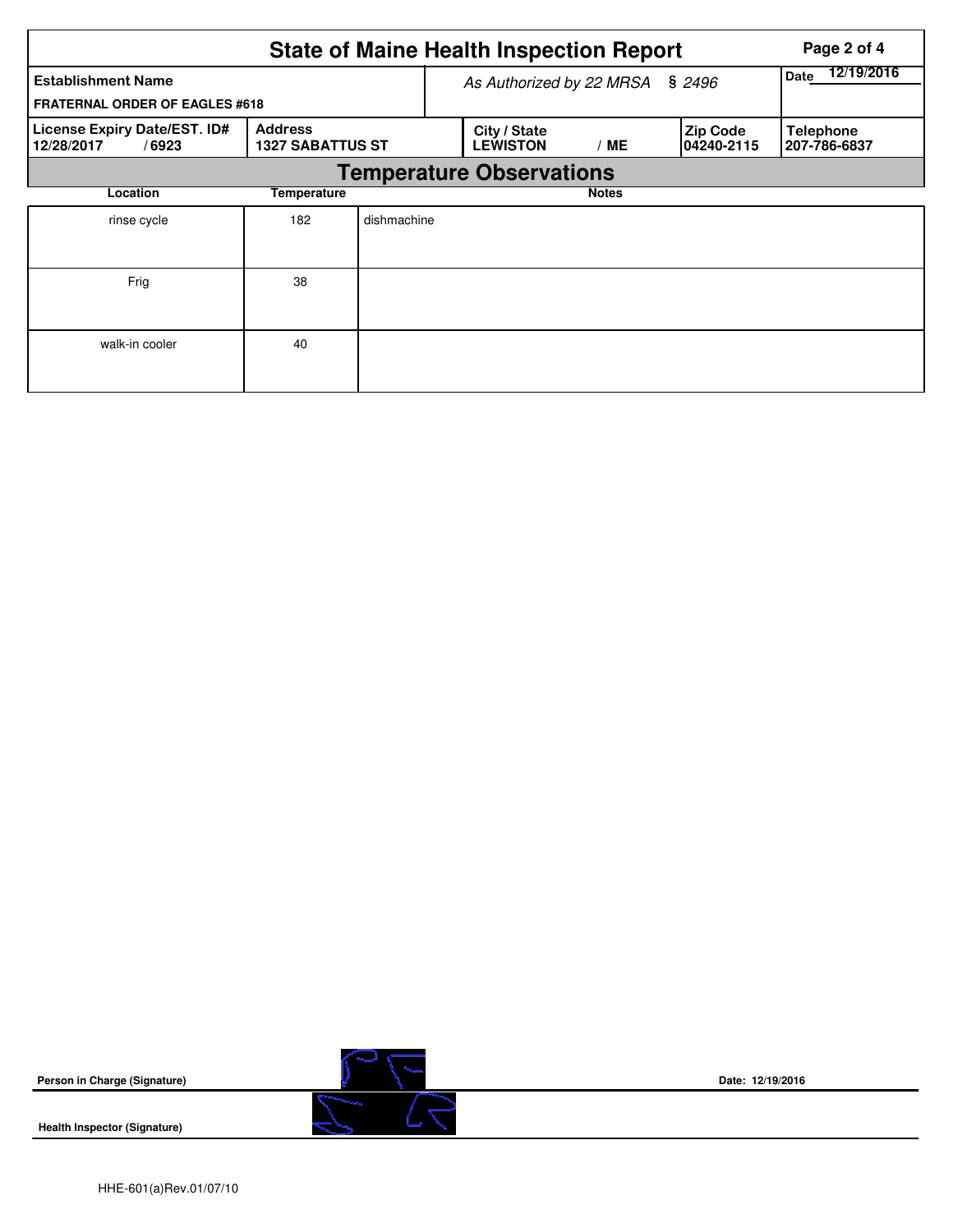| <b>State of Maine Health Inspection Report</b><br>Page 2 of 4      |                                           |                                 |                                 |              |                               |                                  |  |  |  |  |
|--------------------------------------------------------------------|-------------------------------------------|---------------------------------|---------------------------------|--------------|-------------------------------|----------------------------------|--|--|--|--|
| <b>Establishment Name</b><br><b>FRATERNAL ORDER OF EAGLES #618</b> |                                           | As Authorized by 22 MRSA § 2496 | 12/19/2016<br><b>Date</b>       |              |                               |                                  |  |  |  |  |
| License Expiry Date/EST. ID#<br>12/28/2017<br>/6923                | <b>Address</b><br><b>1327 SABATTUS ST</b> |                                 | City / State<br><b>LEWISTON</b> | / ME         | <b>Zip Code</b><br>04240-2115 | <b>Telephone</b><br>207-786-6837 |  |  |  |  |
|                                                                    | <b>Temperature Observations</b>           |                                 |                                 |              |                               |                                  |  |  |  |  |
| Location<br>Temperature                                            |                                           |                                 |                                 | <b>Notes</b> |                               |                                  |  |  |  |  |
| rinse cycle                                                        | 182                                       | dishmachine                     |                                 |              |                               |                                  |  |  |  |  |
| Frig                                                               | 38                                        |                                 |                                 |              |                               |                                  |  |  |  |  |
| walk-in cooler                                                     | 40                                        |                                 |                                 |              |                               |                                  |  |  |  |  |

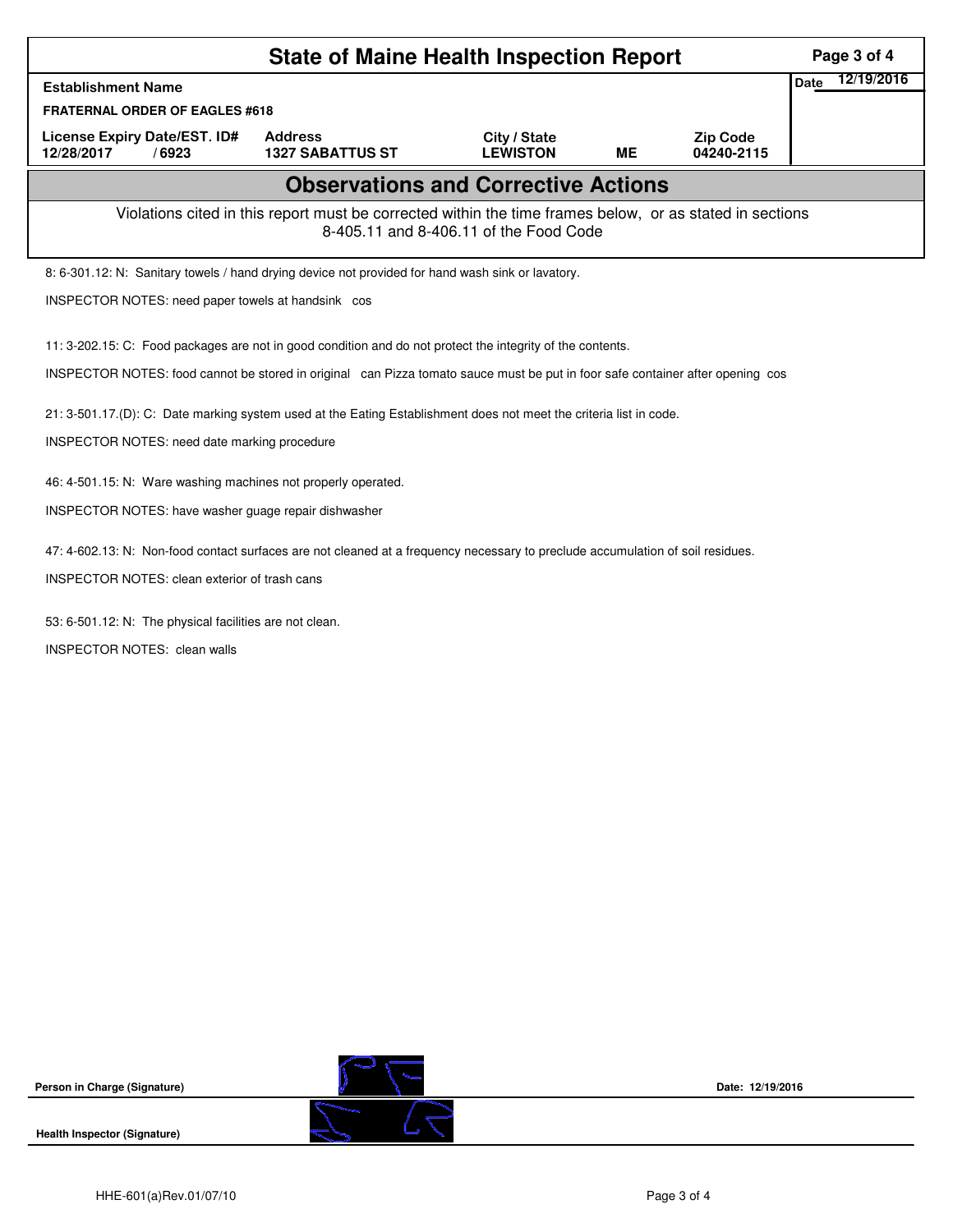| <b>State of Maine Health Inspection Report</b>                                                                                                                                                                                               |                                           |                                 |           |                               |                    |  |  |  |  |
|----------------------------------------------------------------------------------------------------------------------------------------------------------------------------------------------------------------------------------------------|-------------------------------------------|---------------------------------|-----------|-------------------------------|--------------------|--|--|--|--|
| <b>Establishment Name</b>                                                                                                                                                                                                                    |                                           |                                 |           |                               | 12/19/2016<br>Date |  |  |  |  |
| <b>FRATERNAL ORDER OF EAGLES #618</b>                                                                                                                                                                                                        |                                           |                                 |           |                               |                    |  |  |  |  |
| License Expiry Date/EST. ID#<br>12/28/2017<br>/6923                                                                                                                                                                                          | <b>Address</b><br><b>1327 SABATTUS ST</b> | City / State<br><b>LEWISTON</b> | <b>ME</b> | <b>Zip Code</b><br>04240-2115 |                    |  |  |  |  |
| <b>Observations and Corrective Actions</b>                                                                                                                                                                                                   |                                           |                                 |           |                               |                    |  |  |  |  |
| Violations cited in this report must be corrected within the time frames below, or as stated in sections<br>8-405.11 and 8-406.11 of the Food Code                                                                                           |                                           |                                 |           |                               |                    |  |  |  |  |
| 8: 6-301.12: N: Sanitary towels / hand drying device not provided for hand wash sink or lavatory.                                                                                                                                            |                                           |                                 |           |                               |                    |  |  |  |  |
| INSPECTOR NOTES: need paper towels at handsink cos                                                                                                                                                                                           |                                           |                                 |           |                               |                    |  |  |  |  |
| 11: 3-202.15: C: Food packages are not in good condition and do not protect the integrity of the contents.<br>INSPECTOR NOTES: food cannot be stored in original can Pizza tomato sauce must be put in foor safe container after opening cos |                                           |                                 |           |                               |                    |  |  |  |  |
| 21: 3-501.17.(D): C: Date marking system used at the Eating Establishment does not meet the criteria list in code.                                                                                                                           |                                           |                                 |           |                               |                    |  |  |  |  |
| INSPECTOR NOTES: need date marking procedure                                                                                                                                                                                                 |                                           |                                 |           |                               |                    |  |  |  |  |
| 46: 4-501.15: N: Ware washing machines not properly operated.                                                                                                                                                                                |                                           |                                 |           |                               |                    |  |  |  |  |
| INSPECTOR NOTES: have washer guage repair dishwasher                                                                                                                                                                                         |                                           |                                 |           |                               |                    |  |  |  |  |
| 47: 4-602.13: N: Non-food contact surfaces are not cleaned at a frequency necessary to preclude accumulation of soil residues.                                                                                                               |                                           |                                 |           |                               |                    |  |  |  |  |
| INSPECTOR NOTES: clean exterior of trash cans                                                                                                                                                                                                |                                           |                                 |           |                               |                    |  |  |  |  |
|                                                                                                                                                                                                                                              |                                           |                                 |           |                               |                    |  |  |  |  |
| 53: 6-501.12: N: The physical facilities are not clean.                                                                                                                                                                                      |                                           |                                 |           |                               |                    |  |  |  |  |
| <b>INSPECTOR NOTES: clean walls</b>                                                                                                                                                                                                          |                                           |                                 |           |                               |                    |  |  |  |  |
|                                                                                                                                                                                                                                              |                                           |                                 |           |                               |                    |  |  |  |  |
|                                                                                                                                                                                                                                              |                                           |                                 |           |                               |                    |  |  |  |  |